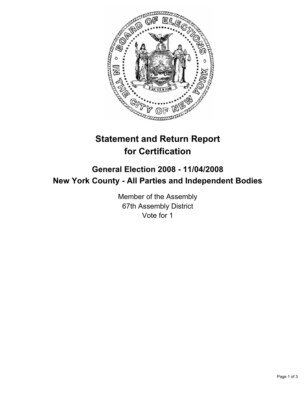

# **Statement and Return Report for Certification**

## **General Election 2008 - 11/04/2008 New York County - All Parties and Independent Bodies**

Member of the Assembly 67th Assembly District Vote for 1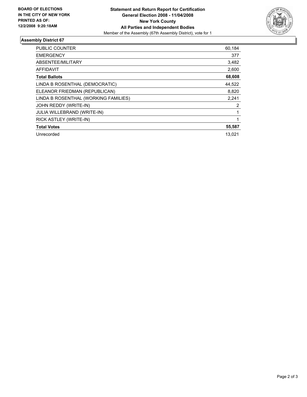

### **Assembly District 67**

| <b>PUBLIC COUNTER</b>                | 60,184 |
|--------------------------------------|--------|
| <b>EMERGENCY</b>                     | 377    |
| ABSENTEE/MILITARY                    | 3,482  |
| <b>AFFIDAVIT</b>                     | 2,600  |
| <b>Total Ballots</b>                 | 68,608 |
| LINDA B ROSENTHAL (DEMOCRATIC)       | 44,522 |
| ELEANOR FRIEDMAN (REPUBLICAN)        | 8,820  |
| LINDA B ROSENTHAL (WORKING FAMILIES) | 2,241  |
| JOHN REDDY (WRITE-IN)                | 2      |
| <b>JULIA WILLEBRAND (WRITE-IN)</b>   |        |
| RICK ASTLEY (WRITE-IN)               |        |
| <b>Total Votes</b>                   | 55,587 |
| Unrecorded                           | 13.021 |